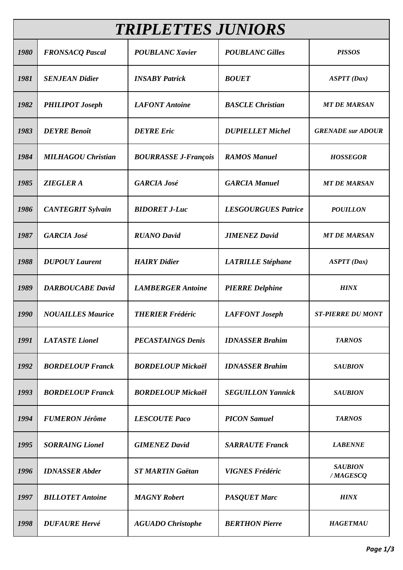| <b>TRIPLETTES JUNIORS</b> |                           |                             |                            |                            |  |  |
|---------------------------|---------------------------|-----------------------------|----------------------------|----------------------------|--|--|
| 1980                      | <b>FRONSACQ Pascal</b>    | <b>POUBLANC Xavier</b>      | <b>POUBLANC Gilles</b>     | <b>PISSOS</b>              |  |  |
| 1981                      | <b>SENJEAN Didier</b>     | <b>INSABY Patrick</b>       | <b>BOUET</b>               | ASTT(Dax)                  |  |  |
| 1982                      | <b>PHILIPOT Joseph</b>    | <b>LAFONT</b> Antoine       | <b>BASCLE Christian</b>    | <b>MT DE MARSAN</b>        |  |  |
| 1983                      | <b>DEYRE</b> Benoît       | <b>DEYRE</b> Eric           | <b>DUPIELLET Michel</b>    | <b>GRENADE</b> sur ADOUR   |  |  |
| 1984                      | <b>MILHAGOU Christian</b> | <b>BOURRASSE J-François</b> | <b>RAMOS Manuel</b>        | <b>HOSSEGOR</b>            |  |  |
| 1985                      | <b>ZIEGLER A</b>          | <b>GARCIA José</b>          | <b>GARCIA Manuel</b>       | <b>MT DE MARSAN</b>        |  |  |
| 1986                      | <b>CANTEGRIT Sylvain</b>  | <b>BIDORET J-Luc</b>        | <b>LESGOURGUES Patrice</b> | <b>POUILLON</b>            |  |  |
| 1987                      | <b>GARCIA José</b>        | <b>RUANO David</b>          | <b>JIMENEZ David</b>       | <b>MT DE MARSAN</b>        |  |  |
| 1988                      | <b>DUPOUY Laurent</b>     | <b>HAIRY</b> Didier         | <b>LATRILLE Stéphane</b>   | <b>ASPTT</b> (Dax)         |  |  |
| 1989                      | <b>DARBOUCABE David</b>   | <b>LAMBERGER Antoine</b>    | <b>PIERRE Delphine</b>     | <b>HINX</b>                |  |  |
| 1990                      | <b>NOUAILLES Maurice</b>  | <b>THERIER Frédéric</b>     | <b>LAFFONT</b> Joseph      | <b>ST-PIERRE DU MONT</b>   |  |  |
| 1991                      | <b>LATASTE</b> Lionel     | <b>PECASTAINGS Denis</b>    | <b>IDNASSER Brahim</b>     | <b>TARNOS</b>              |  |  |
| 1992                      | <b>BORDELOUP Franck</b>   | <b>BORDELOUP Mickaël</b>    | <b>IDNASSER Brahim</b>     | <b>SAUBION</b>             |  |  |
| 1993                      | <b>BORDELOUP Franck</b>   | <b>BORDELOUP Mickaël</b>    | <b>SEGUILLON Yannick</b>   | <b>SAUBION</b>             |  |  |
| 1994                      | <b>FUMERON Jérôme</b>     | <b>LESCOUTE Paco</b>        | <b>PICON Samuel</b>        | <b>TARNOS</b>              |  |  |
| 1995                      | <b>SORRAING Lionel</b>    | <b>GIMENEZ David</b>        | <b>SARRAUTE Franck</b>     | <b>LABENNE</b>             |  |  |
| 1996                      | <b>IDNASSER Abder</b>     | <b>ST MARTIN Gaëtan</b>     | <b>VIGNES Frédéric</b>     | <b>SAUBION</b><br>/MAGESCQ |  |  |
| 1997                      | <b>BILLOTET Antoine</b>   | <b>MAGNY</b> Robert         | <b>PASQUET Marc</b>        | <b>HINX</b>                |  |  |
| 1998                      | <b>DUFAURE Hervé</b>      | <b>AGUADO</b> Christophe    | <b>BERTHON Pierre</b>      | <b>HAGETMAU</b>            |  |  |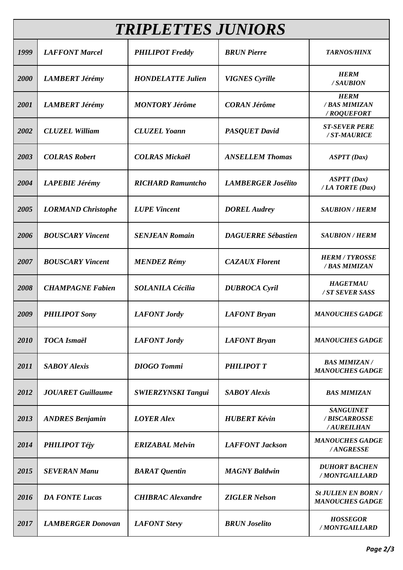| <b>TRIPLETTES JUNIORS</b> |                           |                           |                           |                                                      |  |  |  |
|---------------------------|---------------------------|---------------------------|---------------------------|------------------------------------------------------|--|--|--|
| 1999                      | <b>LAFFONT Marcel</b>     | <b>PHILIPOT Freddy</b>    | <b>BRUN Pierre</b>        | <b>TARNOS/HINX</b>                                   |  |  |  |
| 2000                      | <b>LAMBERT Jérémy</b>     | <b>HONDELATTE Julien</b>  | <b>VIGNES</b> Cyrille     | <b>HERM</b><br>/SAUBION                              |  |  |  |
| 2001                      | <b>LAMBERT Jérémy</b>     | <b>MONTORY Jérôme</b>     | <b>CORAN Jérôme</b>       | <b>HERM</b><br>/ BAS MIMIZAN<br>/ROQUEFORT           |  |  |  |
| 2002                      | <b>CLUZEL William</b>     | <b>CLUZEL Yoann</b>       | <b>PASQUET David</b>      | <b>ST-SEVER PERE</b><br>/ST-MAURICE                  |  |  |  |
| 2003                      | <b>COLRAS Robert</b>      | <b>COLRAS Mickaël</b>     | <b>ANSELLEM Thomas</b>    | ASTT(Dax)                                            |  |  |  |
| 2004                      | <b>LAPEBIE Jérémy</b>     | <b>RICHARD Ramuntcho</b>  | <b>LAMBERGER Josélito</b> | ASTT(Dax)<br>/ LA TORTE (Dax)                        |  |  |  |
| 2005                      | <b>LORMAND Christophe</b> | <b>LUPE Vincent</b>       | <b>DOREL Audrey</b>       | <b>SAUBION / HERM</b>                                |  |  |  |
| 2006                      | <b>BOUSCARY Vincent</b>   | <b>SENJEAN Romain</b>     | <b>DAGUERRE Sébastien</b> | <b>SAUBION / HERM</b>                                |  |  |  |
| 2007                      | <b>BOUSCARY Vincent</b>   | <b>MENDEZ Rémy</b>        | <b>CAZAUX Florent</b>     | <b>HERM / TYROSSE</b><br>/ BAS MIMIZAN               |  |  |  |
| 2008                      | <b>CHAMPAGNE Fabien</b>   | <b>SOLANILA Cécilia</b>   | <b>DUBROCA</b> Cyril      | <b>HAGETMAU</b><br>/ ST SEVER SASS                   |  |  |  |
| 2009                      | <b>PHILIPOT Sony</b>      | <b>LAFONT</b> Jordy       | <b>LAFONT Bryan</b>       | <b>MANOUCHES GADGE</b>                               |  |  |  |
| 2010                      | <b>TOCA</b> Ismaël        | <b>LAFONT</b> Jordy       | <b>LAFONT Bryan</b>       | <b>MANOUCHES GADGE</b>                               |  |  |  |
| 2011                      | <b>SABOY Alexis</b>       | <b>DIOGO</b> Tommi        | <b>PHILIPOT T</b>         | <b>BAS MIMIZAN/</b><br><b>MANOUCHES GADGE</b>        |  |  |  |
| 2012                      | <b>JOUARET</b> Guillaume  | <b>SWIERZYNSKI Tangui</b> | <b>SABOY Alexis</b>       | <b>BAS MIMIZAN</b>                                   |  |  |  |
| 2013                      | <b>ANDRES Benjamin</b>    | <b>LOYER Alex</b>         | <b>HUBERT Kévin</b>       | <b>SANGUINET</b><br>/ BISCARROSSE<br>/AUREILHAN      |  |  |  |
| 2014                      | <b>PHILIPOT Téjy</b>      | <b>ERIZABAL Melvin</b>    | <b>LAFFONT Jackson</b>    | <b>MANOUCHES GADGE</b><br>/ANGRESSE                  |  |  |  |
| 2015                      | <b>SEVERAN Manu</b>       | <b>BARAT</b> Quentin      | <b>MAGNY Baldwin</b>      | <b>DUHORT BACHEN</b><br>/MONTGAILLARD                |  |  |  |
| 2016                      | <b>DA FONTE Lucas</b>     | <b>CHIBRAC Alexandre</b>  | <b>ZIGLER Nelson</b>      | <b>St JULIEN EN BORN /</b><br><b>MANOUCHES GADGE</b> |  |  |  |
| 2017                      | <b>LAMBERGER Donovan</b>  | <b>LAFONT</b> Stevy       | <b>BRUN</b> Joselito      | <b>HOSSEGOR</b><br>/MONTGAILLARD                     |  |  |  |